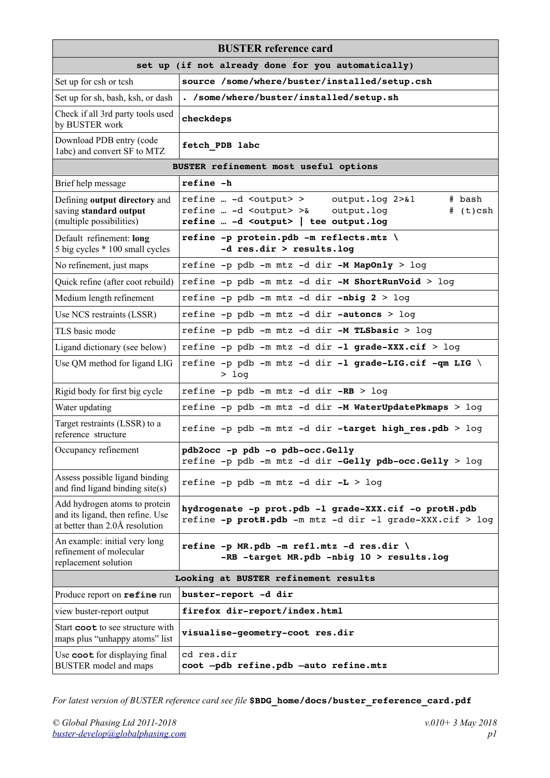| <b>BUSTER</b> reference card                                                                        |                                                                                                                                                                                                                           |  |
|-----------------------------------------------------------------------------------------------------|---------------------------------------------------------------------------------------------------------------------------------------------------------------------------------------------------------------------------|--|
| set up (if not already done for you automatically)                                                  |                                                                                                                                                                                                                           |  |
| Set up for csh or tcsh                                                                              | source /some/where/buster/installed/setup.csh                                                                                                                                                                             |  |
| Set up for sh, bash, ksh, or dash                                                                   | . /some/where/buster/installed/setup.sh                                                                                                                                                                                   |  |
| Check if all 3rd party tools used<br>by BUSTER work                                                 | checkdeps                                                                                                                                                                                                                 |  |
| Download PDB entry (code<br>labc) and convert SF to MTZ                                             | fetch PDB labc                                                                                                                                                                                                            |  |
| BUSTER refinement most useful options                                                               |                                                                                                                                                                                                                           |  |
| Brief help message                                                                                  | refine -h                                                                                                                                                                                                                 |  |
| Defining output directory and<br>saving standard output<br>(multiple possibilities)                 | refine  -d <output> &gt;<br/>output.log 2&gt;&amp;1<br/># bash<br/>refine … -d <output> &gt;&amp;<br/>output.log<br/><math>#</math> (t)csh<br/>refine  <math>-d</math> &lt; output&gt;   tee output.log</output></output> |  |
| Default refinement: long<br>5 big cycles * 100 small cycles                                         | refine -p protein.pdb -m reflects.mtz \<br>-d res.dir > results.log                                                                                                                                                       |  |
| No refinement, just maps                                                                            | refine -p pdb -m mtz -d dir -M MapOnly > log                                                                                                                                                                              |  |
| Quick refine (after coot rebuild)                                                                   | refine -p pdb -m mtz -d dir -M ShortRunVoid > log                                                                                                                                                                         |  |
| Medium length refinement                                                                            | refine -p pdb -m mtz -d dir -nbig $2 > log$                                                                                                                                                                               |  |
| Use NCS restraints (LSSR)                                                                           | refine -p pdb -m mtz -d dir -autoncs > log                                                                                                                                                                                |  |
| TLS basic mode                                                                                      | refine -p pdb -m mtz -d dir -M TLSbasic > log                                                                                                                                                                             |  |
| Ligand dictionary (see below)                                                                       | refine -p pdb -m mtz -d dir -1 grade-XXX.cif > log                                                                                                                                                                        |  |
| Use QM method for ligand LIG                                                                        | refine -p pdb -m mtz -d dir -1 grade-LIG.cif -qm LIG \<br>$>$ log                                                                                                                                                         |  |
| Rigid body for first big cycle                                                                      | refine -p pdb -m mtz -d dir -RB > log                                                                                                                                                                                     |  |
| Water updating                                                                                      | refine -p pdb -m mtz -d dir -M WaterUpdatePkmaps > log                                                                                                                                                                    |  |
| Target restraints (LSSR) to a<br>reference structure                                                | refine -p pdb -m mtz -d dir -target high res.pdb > log                                                                                                                                                                    |  |
| Occupancy refinement                                                                                | pdb2occ -p pdb -o pdb-occ.Gelly<br>refine -p pdb -m mtz -d dir -Gelly pdb-occ.Gelly > log                                                                                                                                 |  |
| Assess possible ligand binding<br>and find ligand binding site(s)                                   | refine -p pdb -m mtz -d dir -L > log                                                                                                                                                                                      |  |
| Add hydrogen atoms to protein<br>and its ligand, then refine. Use<br>at better than 2.0Å resolution | hydrogenate -p prot.pdb -l grade-XXX.cif -o protH.pdb<br>refine -p protH.pdb -m mtz -d dir -l grade-XXX.cif > log                                                                                                         |  |
| An example: initial very long<br>refinement of molecular<br>replacement solution                    | refine -p MR.pdb -m refl.mtz -d res.dir \<br>-RB -target MR.pdb -nbig 10 > results.log                                                                                                                                    |  |
| Looking at BUSTER refinement results                                                                |                                                                                                                                                                                                                           |  |
| Produce report on refine run                                                                        | buster-report -d dir                                                                                                                                                                                                      |  |
| view buster-report output                                                                           | firefox dir-report/index.html                                                                                                                                                                                             |  |
| Start coot to see structure with<br>maps plus "unhappy atoms" list                                  | visualise-geometry-coot res.dir                                                                                                                                                                                           |  |
| Use coot for displaying final<br><b>BUSTER</b> model and maps                                       | cd res.dir<br>coot -pdb refine.pdb -auto refine.mtz                                                                                                                                                                       |  |

*For latest version of BUSTER reference card see file* **\$BDG\_home/docs/buster\_reference\_card.pdf**